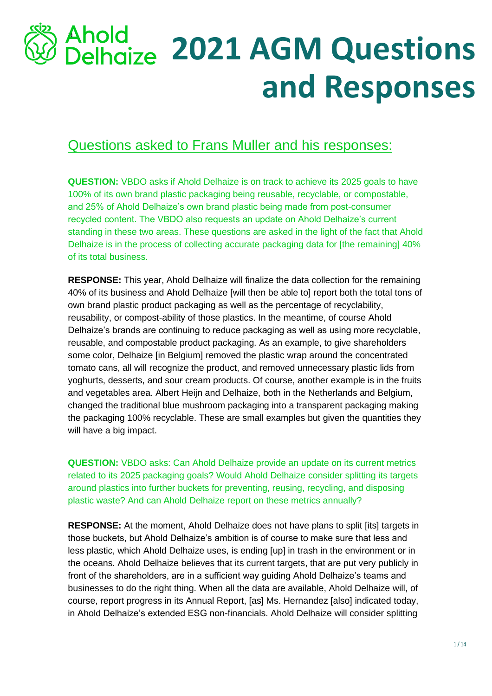# a **2021 AGM Questions and Responses**

## Questions asked to Frans Muller and his responses:

**QUESTION:** VBDO asks if Ahold Delhaize is on track to achieve its 2025 goals to have 100% of its own brand plastic packaging being reusable, recyclable, or compostable, and 25% of Ahold Delhaize's own brand plastic being made from post-consumer recycled content. The VBDO also requests an update on Ahold Delhaize's current standing in these two areas. These questions are asked in the light of the fact that Ahold Delhaize is in the process of collecting accurate packaging data for [the remaining] 40% of its total business.

**RESPONSE:** This year, Ahold Delhaize will finalize the data collection for the remaining 40% of its business and Ahold Delhaize [will then be able to] report both the total tons of own brand plastic product packaging as well as the percentage of recyclability, reusability, or compost-ability of those plastics. In the meantime, of course Ahold Delhaize's brands are continuing to reduce packaging as well as using more recyclable, reusable, and compostable product packaging. As an example, to give shareholders some color, Delhaize [in Belgium] removed the plastic wrap around the concentrated tomato cans, all will recognize the product, and removed unnecessary plastic lids from yoghurts, desserts, and sour cream products. Of course, another example is in the fruits and vegetables area. Albert Heijn and Delhaize, both in the Netherlands and Belgium, changed the traditional blue mushroom packaging into a transparent packaging making the packaging 100% recyclable. These are small examples but given the quantities they will have a big impact.

**QUESTION:** VBDO asks: Can Ahold Delhaize provide an update on its current metrics related to its 2025 packaging goals? Would Ahold Delhaize consider splitting its targets around plastics into further buckets for preventing, reusing, recycling, and disposing plastic waste? And can Ahold Delhaize report on these metrics annually?

**RESPONSE:** At the moment, Ahold Delhaize does not have plans to split [its] targets in those buckets, but Ahold Delhaize's ambition is of course to make sure that less and less plastic, which Ahold Delhaize uses, is ending [up] in trash in the environment or in the oceans. Ahold Delhaize believes that its current targets, that are put very publicly in front of the shareholders, are in a sufficient way guiding Ahold Delhaize's teams and businesses to do the right thing. When all the data are available, Ahold Delhaize will, of course, report progress in its Annual Report, [as] Ms. Hernandez [also] indicated today, in Ahold Delhaize's extended ESG non-financials. Ahold Delhaize will consider splitting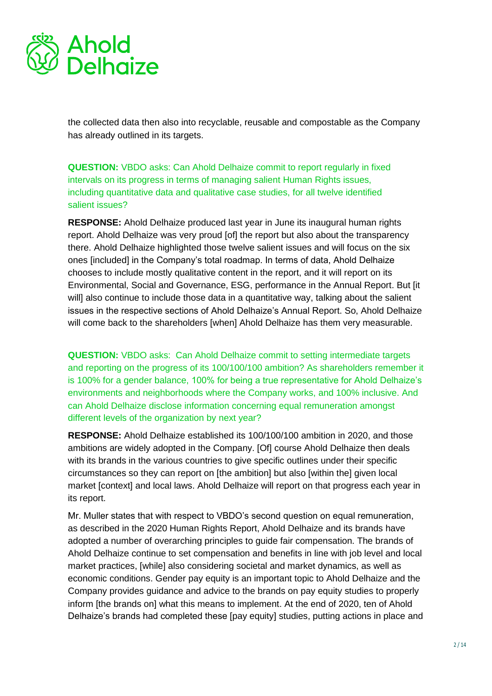

the collected data then also into recyclable, reusable and compostable as the Company has already outlined in its targets.

**QUESTION:** VBDO asks: Can Ahold Delhaize commit to report regularly in fixed intervals on its progress in terms of managing salient Human Rights issues, including quantitative data and qualitative case studies, for all twelve identified salient issues?

**RESPONSE:** Ahold Delhaize produced last year in June its inaugural human rights report. Ahold Delhaize was very proud [of] the report but also about the transparency there. Ahold Delhaize highlighted those twelve salient issues and will focus on the six ones [included] in the Company's total roadmap. In terms of data, Ahold Delhaize chooses to include mostly qualitative content in the report, and it will report on its Environmental, Social and Governance, ESG, performance in the Annual Report. But [it will] also continue to include those data in a quantitative way, talking about the salient issues in the respective sections of Ahold Delhaize's Annual Report. So, Ahold Delhaize will come back to the shareholders [when] Ahold Delhaize has them very measurable.

**QUESTION:** VBDO asks: Can Ahold Delhaize commit to setting intermediate targets and reporting on the progress of its 100/100/100 ambition? As shareholders remember it is 100% for a gender balance, 100% for being a true representative for Ahold Delhaize's environments and neighborhoods where the Company works, and 100% inclusive. And can Ahold Delhaize disclose information concerning equal remuneration amongst different levels of the organization by next year?

**RESPONSE:** Ahold Delhaize established its 100/100/100 ambition in 2020, and those ambitions are widely adopted in the Company. [Of] course Ahold Delhaize then deals with its brands in the various countries to give specific outlines under their specific circumstances so they can report on [the ambition] but also [within the] given local market [context] and local laws. Ahold Delhaize will report on that progress each year in its report.

Mr. Muller states that with respect to VBDO's second question on equal remuneration, as described in the 2020 Human Rights Report, Ahold Delhaize and its brands have adopted a number of overarching principles to guide fair compensation. The brands of Ahold Delhaize continue to set compensation and benefits in line with job level and local market practices, [while] also considering societal and market dynamics, as well as economic conditions. Gender pay equity is an important topic to Ahold Delhaize and the Company provides guidance and advice to the brands on pay equity studies to properly inform [the brands on] what this means to implement. At the end of 2020, ten of Ahold Delhaize's brands had completed these [pay equity] studies, putting actions in place and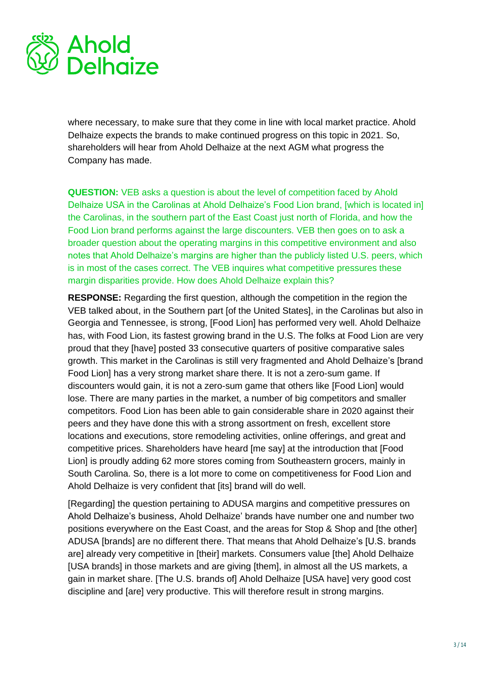

where necessary, to make sure that they come in line with local market practice. Ahold Delhaize expects the brands to make continued progress on this topic in 2021. So, shareholders will hear from Ahold Delhaize at the next AGM what progress the Company has made.

**QUESTION:** VEB asks a question is about the level of competition faced by Ahold Delhaize USA in the Carolinas at Ahold Delhaize's Food Lion brand, [which is located in] the Carolinas, in the southern part of the East Coast just north of Florida, and how the Food Lion brand performs against the large discounters. VEB then goes on to ask a broader question about the operating margins in this competitive environment and also notes that Ahold Delhaize's margins are higher than the publicly listed U.S. peers, which is in most of the cases correct. The VEB inquires what competitive pressures these margin disparities provide. How does Ahold Delhaize explain this?

**RESPONSE:** Regarding the first question, although the competition in the region the VEB talked about, in the Southern part [of the United States], in the Carolinas but also in Georgia and Tennessee, is strong, [Food Lion] has performed very well. Ahold Delhaize has, with Food Lion, its fastest growing brand in the U.S. The folks at Food Lion are very proud that they [have] posted 33 consecutive quarters of positive comparative sales growth. This market in the Carolinas is still very fragmented and Ahold Delhaize's [brand Food Lion] has a very strong market share there. It is not a zero-sum game. If discounters would gain, it is not a zero-sum game that others like [Food Lion] would lose. There are many parties in the market, a number of big competitors and smaller competitors. Food Lion has been able to gain considerable share in 2020 against their peers and they have done this with a strong assortment on fresh, excellent store locations and executions, store remodeling activities, online offerings, and great and competitive prices. Shareholders have heard [me say] at the introduction that [Food Lion] is proudly adding 62 more stores coming from Southeastern grocers, mainly in South Carolina. So, there is a lot more to come on competitiveness for Food Lion and Ahold Delhaize is very confident that [its] brand will do well.

[Regarding] the question pertaining to ADUSA margins and competitive pressures on Ahold Delhaize's business, Ahold Delhaize' brands have number one and number two positions everywhere on the East Coast, and the areas for Stop & Shop and [the other] ADUSA [brands] are no different there. That means that Ahold Delhaize's [U.S. brands are] already very competitive in [their] markets. Consumers value [the] Ahold Delhaize [USA brands] in those markets and are giving [them], in almost all the US markets, a gain in market share. [The U.S. brands of] Ahold Delhaize [USA have] very good cost discipline and [are] very productive. This will therefore result in strong margins.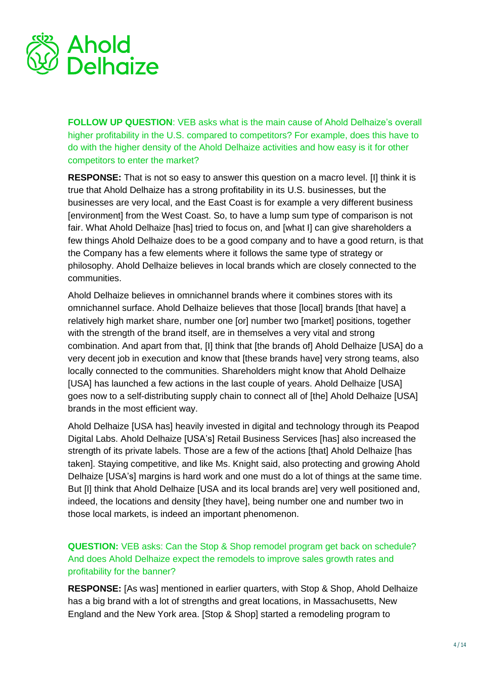

**FOLLOW UP QUESTION:** VEB asks what is the main cause of Ahold Delhaize's overall higher profitability in the U.S. compared to competitors? For example, does this have to do with the higher density of the Ahold Delhaize activities and how easy is it for other competitors to enter the market?

**RESPONSE:** That is not so easy to answer this question on a macro level. [I] think it is true that Ahold Delhaize has a strong profitability in its U.S. businesses, but the businesses are very local, and the East Coast is for example a very different business [environment] from the West Coast. So, to have a lump sum type of comparison is not fair. What Ahold Delhaize [has] tried to focus on, and [what I] can give shareholders a few things Ahold Delhaize does to be a good company and to have a good return, is that the Company has a few elements where it follows the same type of strategy or philosophy. Ahold Delhaize believes in local brands which are closely connected to the communities.

Ahold Delhaize believes in omnichannel brands where it combines stores with its omnichannel surface. Ahold Delhaize believes that those [local] brands [that have] a relatively high market share, number one [or] number two [market] positions, together with the strength of the brand itself, are in themselves a very vital and strong combination. And apart from that, [I] think that [the brands of] Ahold Delhaize [USA] do a very decent job in execution and know that [these brands have] very strong teams, also locally connected to the communities. Shareholders might know that Ahold Delhaize [USA] has launched a few actions in the last couple of years. Ahold Delhaize [USA] goes now to a self-distributing supply chain to connect all of [the] Ahold Delhaize [USA] brands in the most efficient way.

Ahold Delhaize [USA has] heavily invested in digital and technology through its Peapod Digital Labs. Ahold Delhaize [USA's] Retail Business Services [has] also increased the strength of its private labels. Those are a few of the actions [that] Ahold Delhaize [has taken]. Staying competitive, and like Ms. Knight said, also protecting and growing Ahold Delhaize [USA's] margins is hard work and one must do a lot of things at the same time. But [I] think that Ahold Delhaize [USA and its local brands are] very well positioned and, indeed, the locations and density [they have], being number one and number two in those local markets, is indeed an important phenomenon.

**QUESTION:** VEB asks: Can the Stop & Shop remodel program get back on schedule? And does Ahold Delhaize expect the remodels to improve sales growth rates and profitability for the banner?

**RESPONSE:** [As was] mentioned in earlier quarters, with Stop & Shop, Ahold Delhaize has a big brand with a lot of strengths and great locations, in Massachusetts, New England and the New York area. [Stop & Shop] started a remodeling program to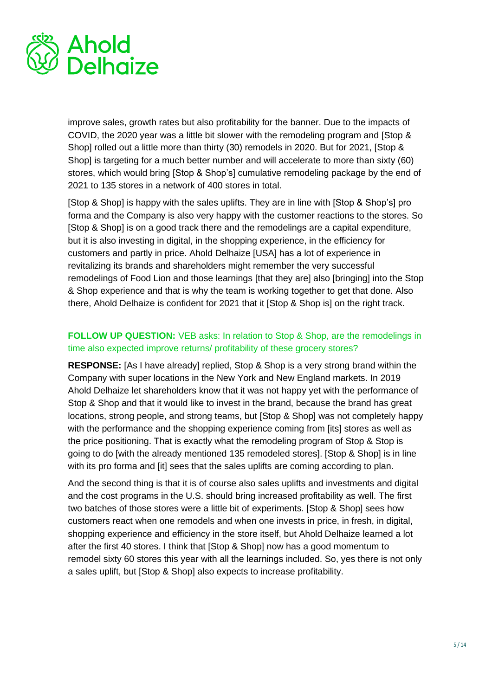

improve sales, growth rates but also profitability for the banner. Due to the impacts of COVID, the 2020 year was a little bit slower with the remodeling program and [Stop & Shop] rolled out a little more than thirty (30) remodels in 2020. But for 2021, [Stop & Shop] is targeting for a much better number and will accelerate to more than sixty (60) stores, which would bring [Stop & Shop's] cumulative remodeling package by the end of 2021 to 135 stores in a network of 400 stores in total.

[Stop & Shop] is happy with the sales uplifts. They are in line with [Stop & Shop's] pro forma and the Company is also very happy with the customer reactions to the stores. So [Stop & Shop] is on a good track there and the remodelings are a capital expenditure, but it is also investing in digital, in the shopping experience, in the efficiency for customers and partly in price. Ahold Delhaize [USA] has a lot of experience in revitalizing its brands and shareholders might remember the very successful remodelings of Food Lion and those learnings [that they are] also [bringing] into the Stop & Shop experience and that is why the team is working together to get that done. Also there, Ahold Delhaize is confident for 2021 that it [Stop & Shop is] on the right track.

#### **FOLLOW UP QUESTION:** VEB asks: In relation to Stop & Shop, are the remodelings in time also expected improve returns/ profitability of these grocery stores?

**RESPONSE:** [As I have already] replied, Stop & Shop is a very strong brand within the Company with super locations in the New York and New England markets. In 2019 Ahold Delhaize let shareholders know that it was not happy yet with the performance of Stop & Shop and that it would like to invest in the brand, because the brand has great locations, strong people, and strong teams, but [Stop & Shop] was not completely happy with the performance and the shopping experience coming from [its] stores as well as the price positioning. That is exactly what the remodeling program of Stop & Stop is going to do [with the already mentioned 135 remodeled stores]. [Stop & Shop] is in line with its pro forma and [it] sees that the sales uplifts are coming according to plan.

And the second thing is that it is of course also sales uplifts and investments and digital and the cost programs in the U.S. should bring increased profitability as well. The first two batches of those stores were a little bit of experiments. [Stop & Shop] sees how customers react when one remodels and when one invests in price, in fresh, in digital, shopping experience and efficiency in the store itself, but Ahold Delhaize learned a lot after the first 40 stores. I think that [Stop & Shop] now has a good momentum to remodel sixty 60 stores this year with all the learnings included. So, yes there is not only a sales uplift, but [Stop & Shop] also expects to increase profitability.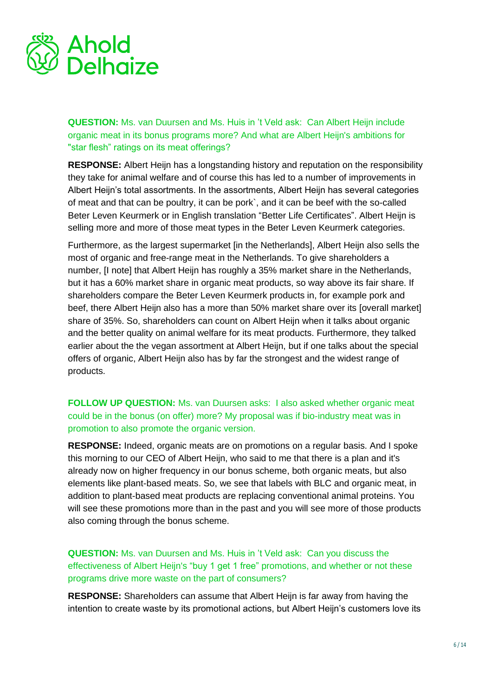

**QUESTION:** Ms. van Duursen and Ms. Huis in 't Veld ask: Can Albert Heijn include organic meat in its bonus programs more? And what are Albert Heijn's ambitions for "star flesh" ratings on its meat offerings?

**RESPONSE:** Albert Heijn has a longstanding history and reputation on the responsibility they take for animal welfare and of course this has led to a number of improvements in Albert Heijn's total assortments. In the assortments, Albert Heijn has several categories of meat and that can be poultry, it can be pork`, and it can be beef with the so-called Beter Leven Keurmerk or in English translation "Better Life Certificates". Albert Heijn is selling more and more of those meat types in the Beter Leven Keurmerk categories.

Furthermore, as the largest supermarket [in the Netherlands], Albert Heijn also sells the most of organic and free-range meat in the Netherlands. To give shareholders a number, [I note] that Albert Heijn has roughly a 35% market share in the Netherlands, but it has a 60% market share in organic meat products, so way above its fair share. If shareholders compare the Beter Leven Keurmerk products in, for example pork and beef, there Albert Heijn also has a more than 50% market share over its [overall market] share of 35%. So, shareholders can count on Albert Heijn when it talks about organic and the better quality on animal welfare for its meat products. Furthermore, they talked earlier about the the vegan assortment at Albert Heijn, but if one talks about the special offers of organic, Albert Heijn also has by far the strongest and the widest range of products.

**FOLLOW UP QUESTION:** Ms. van Duursen asks: I also asked whether organic meat could be in the bonus (on offer) more? My proposal was if bio-industry meat was in promotion to also promote the organic version.

**RESPONSE:** Indeed, organic meats are on promotions on a regular basis. And I spoke this morning to our CEO of Albert Heijn, who said to me that there is a plan and it's already now on higher frequency in our bonus scheme, both organic meats, but also elements like plant-based meats. So, we see that labels with BLC and organic meat, in addition to plant-based meat products are replacing conventional animal proteins. You will see these promotions more than in the past and you will see more of those products also coming through the bonus scheme.

**QUESTION:** Ms. van Duursen and Ms. Huis in 't Veld ask: Can you discuss the effectiveness of Albert Heijn's "buy 1 get 1 free" promotions, and whether or not these programs drive more waste on the part of consumers?

**RESPONSE:** Shareholders can assume that Albert Heijn is far away from having the intention to create waste by its promotional actions, but Albert Heijn's customers love its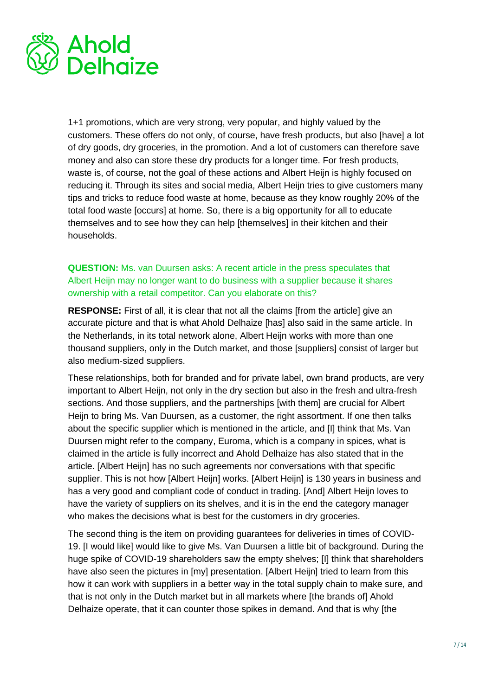

1+1 promotions, which are very strong, very popular, and highly valued by the customers. These offers do not only, of course, have fresh products, but also [have] a lot of dry goods, dry groceries, in the promotion. And a lot of customers can therefore save money and also can store these dry products for a longer time. For fresh products, waste is, of course, not the goal of these actions and Albert Heijn is highly focused on reducing it. Through its sites and social media, Albert Heijn tries to give customers many tips and tricks to reduce food waste at home, because as they know roughly 20% of the total food waste [occurs] at home. So, there is a big opportunity for all to educate themselves and to see how they can help [themselves] in their kitchen and their households.

#### **QUESTION:** Ms. van Duursen asks: A recent article in the press speculates that Albert Heijn may no longer want to do business with a supplier because it shares ownership with a retail competitor. Can you elaborate on this?

**RESPONSE:** First of all, it is clear that not all the claims [from the article] give an accurate picture and that is what Ahold Delhaize [has] also said in the same article. In the Netherlands, in its total network alone, Albert Heijn works with more than one thousand suppliers, only in the Dutch market, and those [suppliers] consist of larger but also medium-sized suppliers.

These relationships, both for branded and for private label, own brand products, are very important to Albert Heijn, not only in the dry section but also in the fresh and ultra-fresh sections. And those suppliers, and the partnerships [with them] are crucial for Albert Heijn to bring Ms. Van Duursen, as a customer, the right assortment. If one then talks about the specific supplier which is mentioned in the article, and [I] think that Ms. Van Duursen might refer to the company, Euroma, which is a company in spices, what is claimed in the article is fully incorrect and Ahold Delhaize has also stated that in the article. [Albert Heijn] has no such agreements nor conversations with that specific supplier. This is not how [Albert Heijn] works. [Albert Heijn] is 130 years in business and has a very good and compliant code of conduct in trading. [And] Albert Heijn loves to have the variety of suppliers on its shelves, and it is in the end the category manager who makes the decisions what is best for the customers in dry groceries.

The second thing is the item on providing guarantees for deliveries in times of COVID-19. [I would like] would like to give Ms. Van Duursen a little bit of background. During the huge spike of COVID-19 shareholders saw the empty shelves; [I] think that shareholders have also seen the pictures in [my] presentation. [Albert Heijn] tried to learn from this how it can work with suppliers in a better way in the total supply chain to make sure, and that is not only in the Dutch market but in all markets where [the brands of] Ahold Delhaize operate, that it can counter those spikes in demand. And that is why [the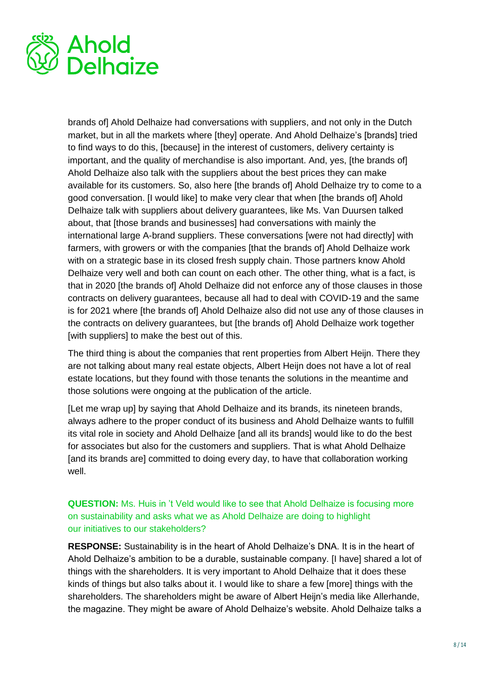

brands of] Ahold Delhaize had conversations with suppliers, and not only in the Dutch market, but in all the markets where [they] operate. And Ahold Delhaize's [brands] tried to find ways to do this, [because] in the interest of customers, delivery certainty is important, and the quality of merchandise is also important. And, yes, [the brands of] Ahold Delhaize also talk with the suppliers about the best prices they can make available for its customers. So, also here [the brands of] Ahold Delhaize try to come to a good conversation. [I would like] to make very clear that when [the brands of] Ahold Delhaize talk with suppliers about delivery guarantees, like Ms. Van Duursen talked about, that [those brands and businesses] had conversations with mainly the international large A-brand suppliers. These conversations [were not had directly] with farmers, with growers or with the companies [that the brands of] Ahold Delhaize work with on a strategic base in its closed fresh supply chain. Those partners know Ahold Delhaize very well and both can count on each other. The other thing, what is a fact, is that in 2020 [the brands of] Ahold Delhaize did not enforce any of those clauses in those contracts on delivery guarantees, because all had to deal with COVID-19 and the same is for 2021 where [the brands of] Ahold Delhaize also did not use any of those clauses in the contracts on delivery guarantees, but [the brands of] Ahold Delhaize work together [with suppliers] to make the best out of this.

The third thing is about the companies that rent properties from Albert Heijn. There they are not talking about many real estate objects, Albert Heijn does not have a lot of real estate locations, but they found with those tenants the solutions in the meantime and those solutions were ongoing at the publication of the article.

[Let me wrap up] by saying that Ahold Delhaize and its brands, its nineteen brands, always adhere to the proper conduct of its business and Ahold Delhaize wants to fulfill its vital role in society and Ahold Delhaize [and all its brands] would like to do the best for associates but also for the customers and suppliers. That is what Ahold Delhaize [and its brands are] committed to doing every day, to have that collaboration working well.

**QUESTION:** Ms. Huis in 't Veld would like to see that Ahold Delhaize is focusing more on sustainability and asks what we as Ahold Delhaize are doing to highlight our initiatives to our stakeholders?

**RESPONSE:** Sustainability is in the heart of Ahold Delhaize's DNA. It is in the heart of Ahold Delhaize's ambition to be a durable, sustainable company. [I have] shared a lot of things with the shareholders. It is very important to Ahold Delhaize that it does these kinds of things but also talks about it. I would like to share a few [more] things with the shareholders. The shareholders might be aware of Albert Heijn's media like Allerhande, the magazine. They might be aware of Ahold Delhaize's website. Ahold Delhaize talks a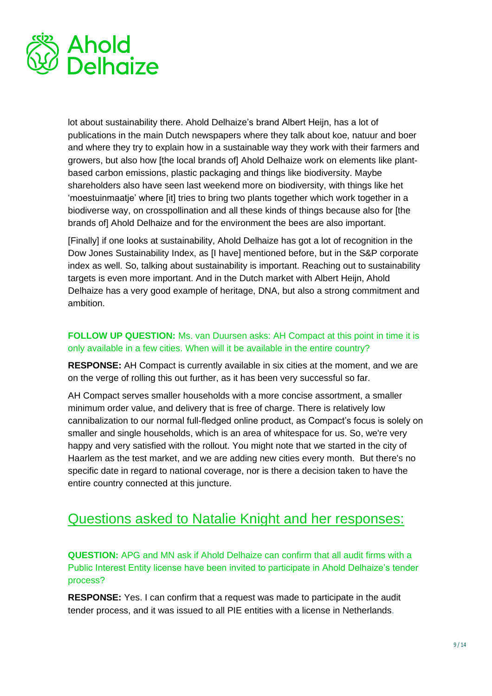

lot about sustainability there. Ahold Delhaize's brand Albert Heijn, has a lot of publications in the main Dutch newspapers where they talk about koe, natuur and boer and where they try to explain how in a sustainable way they work with their farmers and growers, but also how [the local brands of] Ahold Delhaize work on elements like plantbased carbon emissions, plastic packaging and things like biodiversity. Maybe shareholders also have seen last weekend more on biodiversity, with things like het 'moestuinmaatje' where [it] tries to bring two plants together which work together in a biodiverse way, on crosspollination and all these kinds of things because also for [the brands of] Ahold Delhaize and for the environment the bees are also important.

[Finally] if one looks at sustainability, Ahold Delhaize has got a lot of recognition in the Dow Jones Sustainability Index, as [I have] mentioned before, but in the S&P corporate index as well. So, talking about sustainability is important. Reaching out to sustainability targets is even more important. And in the Dutch market with Albert Heijn, Ahold Delhaize has a very good example of heritage, DNA, but also a strong commitment and ambition.

#### **FOLLOW UP QUESTION:** Ms. van Duursen asks: AH Compact at this point in time it is only available in a few cities. When will it be available in the entire country?

**RESPONSE:** AH Compact is currently available in six cities at the moment, and we are on the verge of rolling this out further, as it has been very successful so far.

AH Compact serves smaller households with a more concise assortment, a smaller minimum order value, and delivery that is free of charge. There is relatively low cannibalization to our normal full-fledged online product, as Compact's focus is solely on smaller and single households, which is an area of whitespace for us. So, we're very happy and very satisfied with the rollout. You might note that we started in the city of Haarlem as the test market, and we are adding new cities every month. But there's no specific date in regard to national coverage, nor is there a decision taken to have the entire country connected at this juncture.

### Questions asked to Natalie Knight and her responses:

**QUESTION:** APG and MN ask if Ahold Delhaize can confirm that all audit firms with a Public Interest Entity license have been invited to participate in Ahold Delhaize's tender process?

**RESPONSE:** Yes. I can confirm that a request was made to participate in the audit tender process, and it was issued to all PIE entities with a license in Netherlands.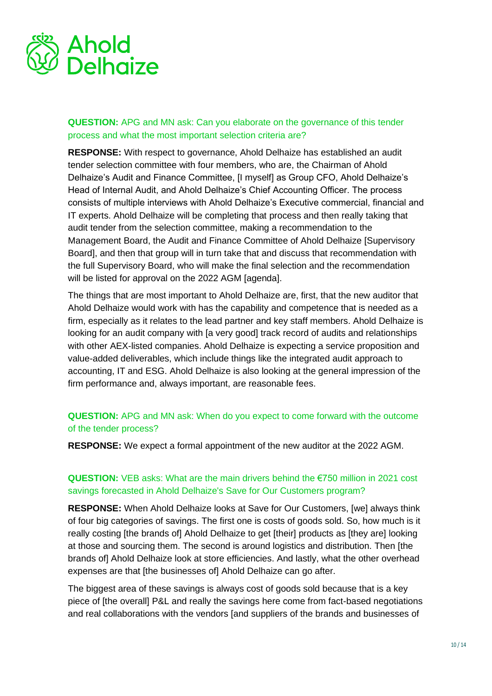

#### **QUESTION:** APG and MN ask: Can you elaborate on the governance of this tender process and what the most important selection criteria are?

**RESPONSE:** With respect to governance, Ahold Delhaize has established an audit tender selection committee with four members, who are, the Chairman of Ahold Delhaize's Audit and Finance Committee, [I myself] as Group CFO, Ahold Delhaize's Head of Internal Audit, and Ahold Delhaize's Chief Accounting Officer. The process consists of multiple interviews with Ahold Delhaize's Executive commercial, financial and IT experts. Ahold Delhaize will be completing that process and then really taking that audit tender from the selection committee, making a recommendation to the Management Board, the Audit and Finance Committee of Ahold Delhaize [Supervisory Board], and then that group will in turn take that and discuss that recommendation with the full Supervisory Board, who will make the final selection and the recommendation will be listed for approval on the 2022 AGM [agenda].

The things that are most important to Ahold Delhaize are, first, that the new auditor that Ahold Delhaize would work with has the capability and competence that is needed as a firm, especially as it relates to the lead partner and key staff members. Ahold Delhaize is looking for an audit company with [a very good] track record of audits and relationships with other AEX-listed companies. Ahold Delhaize is expecting a service proposition and value-added deliverables, which include things like the integrated audit approach to accounting, IT and ESG. Ahold Delhaize is also looking at the general impression of the firm performance and, always important, are reasonable fees.

#### **QUESTION:** APG and MN ask: When do you expect to come forward with the outcome of the tender process?

**RESPONSE:** We expect a formal appointment of the new auditor at the 2022 AGM.

#### **QUESTION:** VEB asks: What are the main drivers behind the €750 million in 2021 cost savings forecasted in Ahold Delhaize's Save for Our Customers program?

**RESPONSE:** When Ahold Delhaize looks at Save for Our Customers, [we] always think of four big categories of savings. The first one is costs of goods sold. So, how much is it really costing [the brands of] Ahold Delhaize to get [their] products as [they are] looking at those and sourcing them. The second is around logistics and distribution. Then [the brands of] Ahold Delhaize look at store efficiencies. And lastly, what the other overhead expenses are that [the businesses of] Ahold Delhaize can go after.

The biggest area of these savings is always cost of goods sold because that is a key piece of [the overall] P&L and really the savings here come from fact-based negotiations and real collaborations with the vendors [and suppliers of the brands and businesses of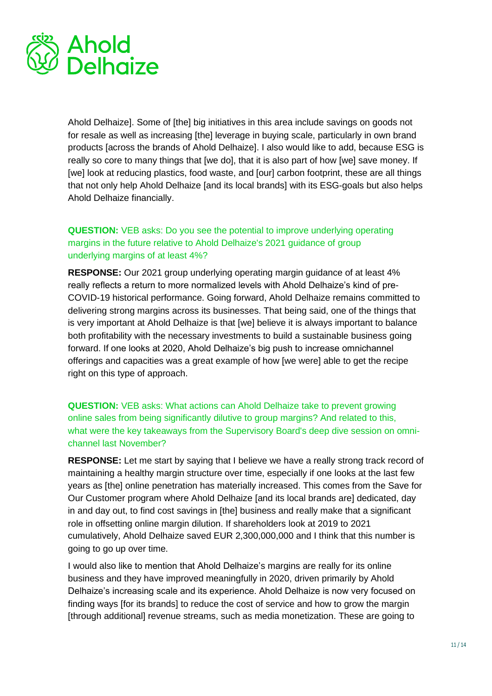

Ahold Delhaize]. Some of [the] big initiatives in this area include savings on goods not for resale as well as increasing [the] leverage in buying scale, particularly in own brand products [across the brands of Ahold Delhaize]. I also would like to add, because ESG is really so core to many things that [we do], that it is also part of how [we] save money. If [we] look at reducing plastics, food waste, and [our] carbon footprint, these are all things that not only help Ahold Delhaize [and its local brands] with its ESG-goals but also helps Ahold Delhaize financially.

**QUESTION:** VEB asks: Do you see the potential to improve underlying operating margins in the future relative to Ahold Delhaize's 2021 guidance of group underlying margins of at least 4%?

**RESPONSE:** Our 2021 group underlying operating margin guidance of at least 4% really reflects a return to more normalized levels with Ahold Delhaize's kind of pre-COVID-19 historical performance. Going forward, Ahold Delhaize remains committed to delivering strong margins across its businesses. That being said, one of the things that is very important at Ahold Delhaize is that [we] believe it is always important to balance both profitability with the necessary investments to build a sustainable business going forward. If one looks at 2020, Ahold Delhaize's big push to increase omnichannel offerings and capacities was a great example of how [we were] able to get the recipe right on this type of approach.

**QUESTION:** VEB asks: What actions can Ahold Delhaize take to prevent growing online sales from being significantly dilutive to group margins? And related to this, what were the key takeaways from the Supervisory Board's deep dive session on omnichannel last November?

**RESPONSE:** Let me start by saying that I believe we have a really strong track record of maintaining a healthy margin structure over time, especially if one looks at the last few years as [the] online penetration has materially increased. This comes from the Save for Our Customer program where Ahold Delhaize [and its local brands are] dedicated, day in and day out, to find cost savings in [the] business and really make that a significant role in offsetting online margin dilution. If shareholders look at 2019 to 2021 cumulatively, Ahold Delhaize saved EUR 2,300,000,000 and I think that this number is going to go up over time.

I would also like to mention that Ahold Delhaize's margins are really for its online business and they have improved meaningfully in 2020, driven primarily by Ahold Delhaize's increasing scale and its experience. Ahold Delhaize is now very focused on finding ways [for its brands] to reduce the cost of service and how to grow the margin [through additional] revenue streams, such as media monetization. These are going to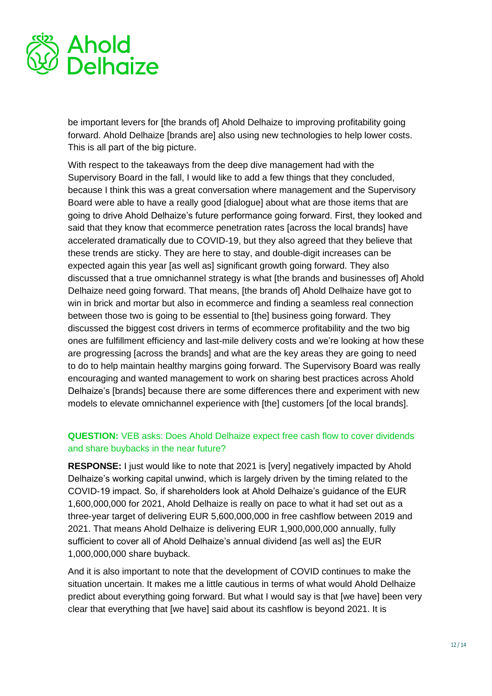

be important levers for [the brands of] Ahold Delhaize to improving profitability going forward. Ahold Delhaize [brands are] also using new technologies to help lower costs. This is all part of the big picture.

With respect to the takeaways from the deep dive management had with the Supervisory Board in the fall, I would like to add a few things that they concluded, because I think this was a great conversation where management and the Supervisory Board were able to have a really good [dialogue] about what are those items that are going to drive Ahold Delhaize's future performance going forward. First, they looked and said that they know that ecommerce penetration rates [across the local brands] have accelerated dramatically due to COVID-19, but they also agreed that they believe that these trends are sticky. They are here to stay, and double-digit increases can be expected again this year [as well as] significant growth going forward. They also discussed that a true omnichannel strategy is what [the brands and businesses of] Ahold Delhaize need going forward. That means, [the brands of] Ahold Delhaize have got to win in brick and mortar but also in ecommerce and finding a seamless real connection between those two is going to be essential to [the] business going forward. They discussed the biggest cost drivers in terms of ecommerce profitability and the two big ones are fulfillment efficiency and last-mile delivery costs and we're looking at how these are progressing [across the brands] and what are the key areas they are going to need to do to help maintain healthy margins going forward. The Supervisory Board was really encouraging and wanted management to work on sharing best practices across Ahold Delhaize's [brands] because there are some differences there and experiment with new models to elevate omnichannel experience with [the] customers [of the local brands].

#### **QUESTION:** VEB asks: Does Ahold Delhaize expect free cash flow to cover dividends and share buybacks in the near future?

**RESPONSE:** I just would like to note that 2021 is [very] negatively impacted by Ahold Delhaize's working capital unwind, which is largely driven by the timing related to the COVID-19 impact. So, if shareholders look at Ahold Delhaize's guidance of the EUR 1,600,000,000 for 2021, Ahold Delhaize is really on pace to what it had set out as a three-year target of delivering EUR 5,600,000,000 in free cashflow between 2019 and 2021. That means Ahold Delhaize is delivering EUR 1,900,000,000 annually, fully sufficient to cover all of Ahold Delhaize's annual dividend [as well as] the EUR 1,000,000,000 share buyback.

And it is also important to note that the development of COVID continues to make the situation uncertain. It makes me a little cautious in terms of what would Ahold Delhaize predict about everything going forward. But what I would say is that [we have] been very clear that everything that [we have] said about its cashflow is beyond 2021. It is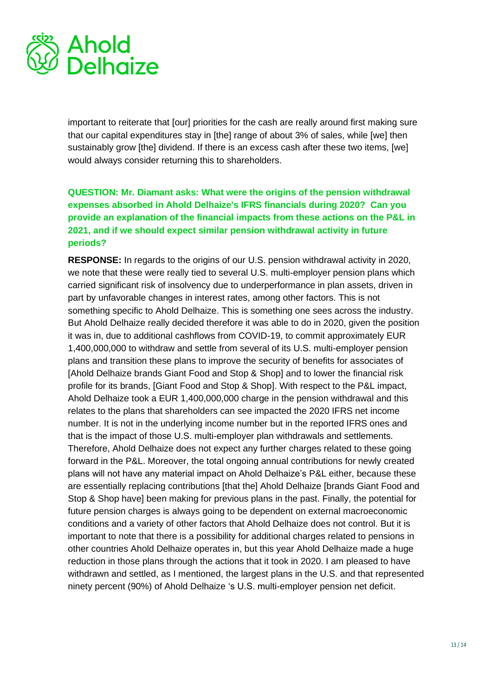

important to reiterate that [our] priorities for the cash are really around first making sure that our capital expenditures stay in [the] range of about 3% of sales, while [we] then sustainably grow [the] dividend. If there is an excess cash after these two items, [we] would always consider returning this to shareholders.

#### **QUESTION: Mr. Diamant asks: What were the origins of the pension withdrawal expenses absorbed in Ahold Delhaize's IFRS financials during 2020? Can you provide an explanation of the financial impacts from these actions on the P&L in 2021, and if we should expect similar pension withdrawal activity in future periods?**

**RESPONSE:** In regards to the origins of our U.S. pension withdrawal activity in 2020, we note that these were really tied to several U.S. multi-employer pension plans which carried significant risk of insolvency due to underperformance in plan assets, driven in part by unfavorable changes in interest rates, among other factors. This is not something specific to Ahold Delhaize. This is something one sees across the industry. But Ahold Delhaize really decided therefore it was able to do in 2020, given the position it was in, due to additional cashflows from COVID-19, to commit approximately EUR 1,400,000,000 to withdraw and settle from several of its U.S. multi-employer pension plans and transition these plans to improve the security of benefits for associates of [Ahold Delhaize brands Giant Food and Stop & Shop] and to lower the financial risk profile for its brands, [Giant Food and Stop & Shop]. With respect to the P&L impact, Ahold Delhaize took a EUR 1,400,000,000 charge in the pension withdrawal and this relates to the plans that shareholders can see impacted the 2020 IFRS net income number. It is not in the underlying income number but in the reported IFRS ones and that is the impact of those U.S. multi-employer plan withdrawals and settlements. Therefore, Ahold Delhaize does not expect any further charges related to these going forward in the P&L. Moreover, the total ongoing annual contributions for newly created plans will not have any material impact on Ahold Delhaize's P&L either, because these are essentially replacing contributions [that the] Ahold Delhaize [brands Giant Food and Stop & Shop have] been making for previous plans in the past. Finally, the potential for future pension charges is always going to be dependent on external macroeconomic conditions and a variety of other factors that Ahold Delhaize does not control. But it is important to note that there is a possibility for additional charges related to pensions in other countries Ahold Delhaize operates in, but this year Ahold Delhaize made a huge reduction in those plans through the actions that it took in 2020. I am pleased to have withdrawn and settled, as I mentioned, the largest plans in the U.S. and that represented ninety percent (90%) of Ahold Delhaize 's U.S. multi-employer pension net deficit.